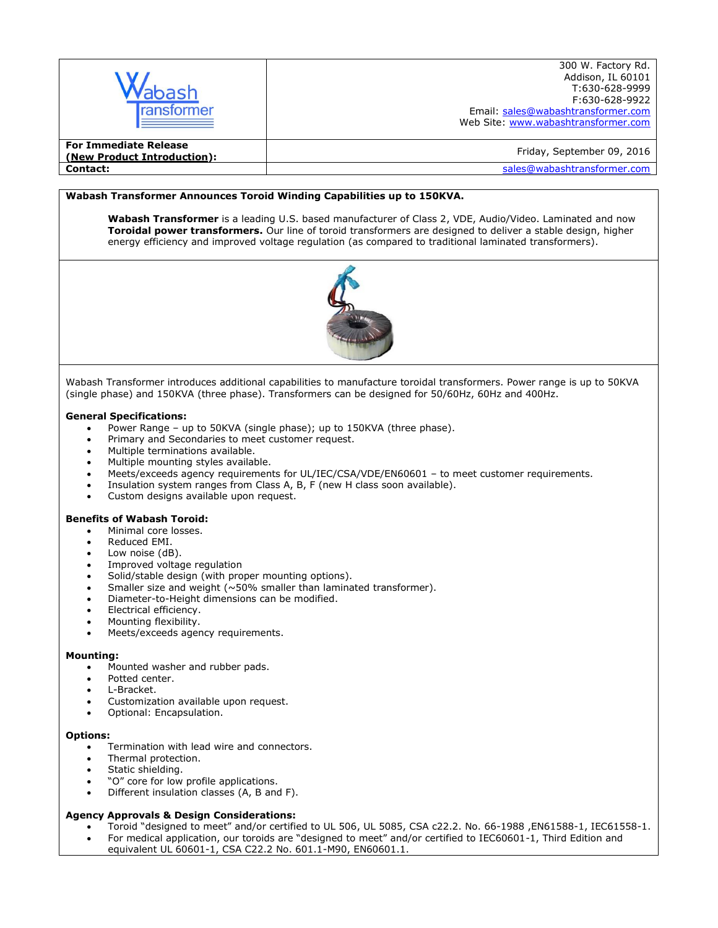| ıbash<br>ransformer                                         | 300 W. Factory Rd.<br>Addison, IL 60101<br>T:630-628-9999<br>F:630-628-9922<br>Email: sales@wabashtransformer.com<br>Web Site: www.wabashtransformer.com |
|-------------------------------------------------------------|----------------------------------------------------------------------------------------------------------------------------------------------------------|
| <b>For Immediate Release</b><br>(New Product Introduction): | Friday, September 09, 2016                                                                                                                               |
| Contact:                                                    | sales@wabashtransformer.com                                                                                                                              |

## **Wabash Transformer Announces Toroid Winding Capabilities up to 150KVA.**

**Wabash Transformer** is a leading U.S. based manufacturer of Class 2, VDE, Audio/Video. Laminated and now **Toroidal power transformers.** Our line of toroid transformers are designed to deliver a stable design, higher energy efficiency and improved voltage regulation (as compared to traditional laminated transformers).



Wabash Transformer introduces additional capabilities to manufacture toroidal transformers. Power range is up to 50KVA (single phase) and 150KVA (three phase). Transformers can be designed for 50/60Hz, 60Hz and 400Hz.

### **General Specifications:**

- Power Range up to 50KVA (single phase); up to 150KVA (three phase).
- Primary and Secondaries to meet customer request.
- Multiple terminations available.
- Multiple mounting styles available.
- Meets/exceeds agency requirements for UL/IEC/CSA/VDE/EN60601 to meet customer requirements.
- Insulation system ranges from Class A, B, F (new H class soon available).
- Custom designs available upon request.

### **Benefits of Wabash Toroid:**

- Minimal core losses.
- Reduced EMI.
- Low noise (dB).
- Improved voltage regulation
- Solid/stable design (with proper mounting options).
- Smaller size and weight (~50% smaller than laminated transformer).
- Diameter-to-Height dimensions can be modified.
- Electrical efficiency.
- Mounting flexibility.
- Meets/exceeds agency requirements.

#### **Mounting:**

- Mounted washer and rubber pads.
- Potted center.
- L-Bracket.
- Customization available upon request.
- Optional: Encapsulation.

#### **Options:**

- Termination with lead wire and connectors.
- Thermal protection.
- Static shielding.
- "O" core for low profile applications.
- Different insulation classes (A, B and F).

### **Agency Approvals & Design Considerations:**

- Toroid "designed to meet" and/or certified to UL 506, UL 5085, CSA c22.2. No. 66-1988 ,EN61588-1, IEC61558-1.
- For medical application, our toroids are "designed to meet" and/or certified to IEC60601-1, Third Edition and equivalent UL 60601-1, CSA C22.2 No. 601.1-M90, EN60601.1.